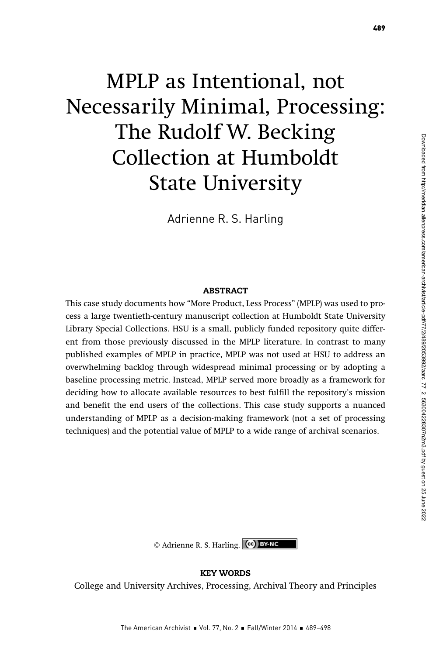# MPLP as Intentional, not Necessarily Minimal, Processing: The Rudolf W. Becking Collection at Humboldt State University

Adrienne R. S. Harling

### **ABSTRACT**

This case study documents how "More Product, Less Process" (MPLP) was used to process a large twentieth-century manuscript collection at Humboldt State University Library Special Collections. HSU is a small, publicly funded repository quite different from those previously discussed in the MPLP literature. In contrast to many published examples of MPLP in practice, MPLP was not used at HSU to address an overwhelming backlog through widespread minimal processing or by adopting a baseline processing metric. Instead, MPLP served more broadly as a framework for deciding how to allocate available resources to best fulfill the repository's mission and benefit the end users of the collections. This case study supports a nuanced understanding of MPLP as a decision-making framework (not a set of processing techniques) and the potential value of MPLP to a wide range of archival scenarios.

## KEY WORDS

College and University Archives, Processing, Archival Theory and Principles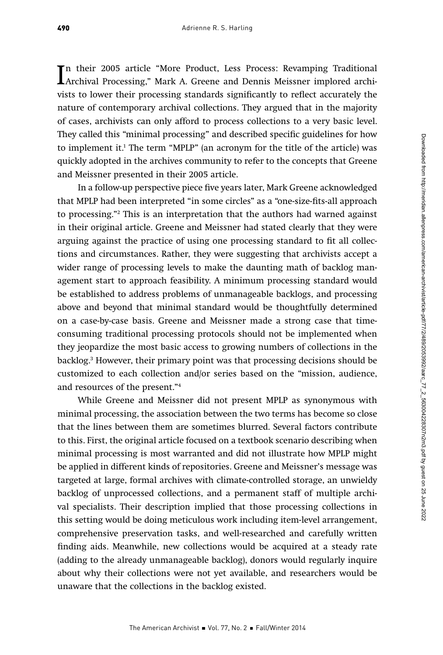In their 2005 article "More Product, Less Process: Revamping Traditional<br>Archival Processing," Mark A. Greene and Dennis Meissner implored archi-<br>price to leave their was positive star leads simile scaths to adjact a swart n their 2005 article "More Product, Less Process: Revamping Traditional vists to lower their processing standards significantly to reflect accurately the nature of contemporary archival collections. They argued that in the majority of cases, archivists can only afford to process collections to a very basic level. They called this "minimal processing" and described specific guidelines for how to implement it.1 The term "MPLP" (an acronym for the title of the article) was quickly adopted in the archives community to refer to the concepts that Greene and Meissner presented in their 2005 article.

In a follow-up perspective piece five years later, Mark Greene acknowledged that MPLP had been interpreted "in some circles" as a "one-size-fits-all approach to processing."2 This is an interpretation that the authors had warned against in their original article. Greene and Meissner had stated clearly that they were arguing against the practice of using one processing standard to fit all collections and circumstances. Rather, they were suggesting that archivists accept a wider range of processing levels to make the daunting math of backlog management start to approach feasibility. A minimum processing standard would be established to address problems of unmanageable backlogs, and processing above and beyond that minimal standard would be thoughtfully determined on a case-by-case basis. Greene and Meissner made a strong case that timeconsuming traditional processing protocols should not be implemented when they jeopardize the most basic access to growing numbers of collections in the backlog.3 However, their primary point was that processing decisions should be customized to each collection and/or series based on the "mission, audience, and resources of the present."4

While Greene and Meissner did not present MPLP as synonymous with minimal processing, the association between the two terms has become so close that the lines between them are sometimes blurred. Several factors contribute to this. First, the original article focused on a textbook scenario describing when minimal processing is most warranted and did not illustrate how MPLP might be applied in different kinds of repositories. Greene and Meissner's message was targeted at large, formal archives with climate-controlled storage, an unwieldy backlog of unprocessed collections, and a permanent staff of multiple archival specialists. Their description implied that those processing collections in this setting would be doing meticulous work including item-level arrangement, comprehensive preservation tasks, and well-researched and carefully written finding aids. Meanwhile, new collections would be acquired at a steady rate (adding to the already unmanageable backlog), donors would regularly inquire about why their collections were not yet available, and researchers would be unaware that the collections in the backlog existed.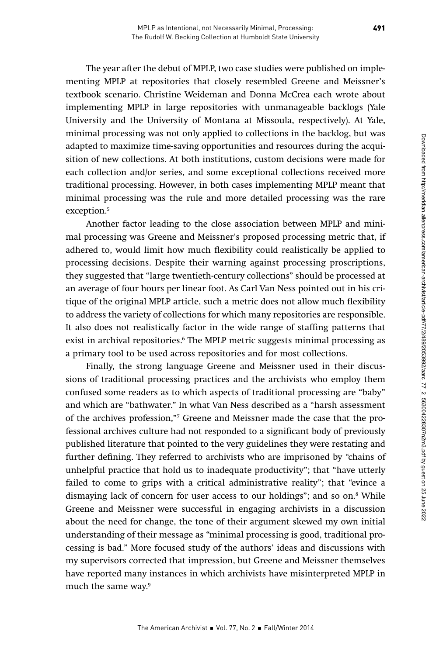The year after the debut of MPLP, two case studies were published on implementing MPLP at repositories that closely resembled Greene and Meissner's textbook scenario. Christine Weideman and Donna McCrea each wrote about implementing MPLP in large repositories with unmanageable backlogs (Yale University and the University of Montana at Missoula, respectively). At Yale, minimal processing was not only applied to collections in the backlog, but was adapted to maximize time-saving opportunities and resources during the acquisition of new collections. At both institutions, custom decisions were made for each collection and/or series, and some exceptional collections received more traditional processing. However, in both cases implementing MPLP meant that minimal processing was the rule and more detailed processing was the rare exception.5

Another factor leading to the close association between MPLP and minimal processing was Greene and Meissner's proposed processing metric that, if adhered to, would limit how much flexibility could realistically be applied to processing decisions. Despite their warning against processing proscriptions, they suggested that "large twentieth-century collections" should be processed at an average of four hours per linear foot. As Carl Van Ness pointed out in his critique of the original MPLP article, such a metric does not allow much flexibility to address the variety of collections for which many repositories are responsible. It also does not realistically factor in the wide range of staffing patterns that exist in archival repositories.<sup>6</sup> The MPLP metric suggests minimal processing as a primary tool to be used across repositories and for most collections.

Finally, the strong language Greene and Meissner used in their discussions of traditional processing practices and the archivists who employ them confused some readers as to which aspects of traditional processing are "baby" and which are "bathwater." In what Van Ness described as a "harsh assessment of the archives profession,"7 Greene and Meissner made the case that the professional archives culture had not responded to a significant body of previously published literature that pointed to the very guidelines they were restating and further defining. They referred to archivists who are imprisoned by "chains of unhelpful practice that hold us to inadequate productivity"; that "have utterly failed to come to grips with a critical administrative reality"; that "evince a dismaying lack of concern for user access to our holdings"; and so on.8 While Greene and Meissner were successful in engaging archivists in a discussion about the need for change, the tone of their argument skewed my own initial understanding of their message as "minimal processing is good, traditional processing is bad." More focused study of the authors' ideas and discussions with my supervisors corrected that impression, but Greene and Meissner themselves have reported many instances in which archivists have misinterpreted MPLP in much the same way.<sup>9</sup>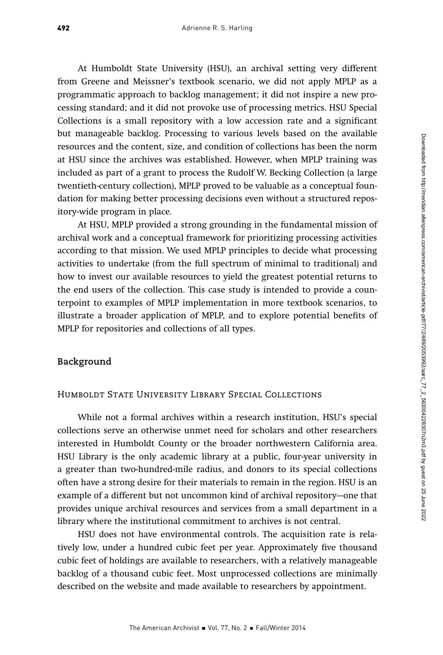At Humboldt State University (HSU), an archival setting very different from Greene and Meissner's textbook scenario, we did not apply MPLP as a programmatic approach to backlog management; it did not inspire a new processing standard; and it did not provoke use of processing metrics. HSU Special Collections is a small repository with a low accession rate and a significant but manageable backlog. Processing to various levels based on the available resources and the content, size, and condition of collections has been the norm at HSU since the archives was established. However, when MPLP training was included as part of a grant to process the Rudolf W. Becking Collection (a large twentieth-century collection), MPLP proved to be valuable as a conceptual foundation for making better processing decisions even without a structured repository-wide program in place.

At HSU, MPLP provided a strong grounding in the fundamental mission of archival work and a conceptual framework for prioritizing processing activities according to that mission. We used MPLP principles to decide what processing activities to undertake (from the full spectrum of minimal to traditional) and how to invest our available resources to yield the greatest potential returns to the end users of the collection. This case study is intended to provide a counterpoint to examples of MPLP implementation in more textbook scenarios, to illustrate a broader application of MPLP, and to explore potential benefits of MPLP for repositories and collections of all types.

# **Background**

## Humboldt State University Library Special Collections

While not a formal archives within a research institution, HSU's special collections serve an otherwise unmet need for scholars and other researchers interested in Humboldt County or the broader northwestern California area. HSU Library is the only academic library at a public, four-year university in a greater than two-hundred-mile radius, and donors to its special collections often have a strong desire for their materials to remain in the region. HSU is an example of a different but not uncommon kind of archival repository—one that provides unique archival resources and services from a small department in a library where the institutional commitment to archives is not central.

HSU does not have environmental controls. The acquisition rate is relatively low, under a hundred cubic feet per year. Approximately five thousand cubic feet of holdings are available to researchers, with a relatively manageable backlog of a thousand cubic feet. Most unprocessed collections are minimally described on the website and made available to researchers by appointment.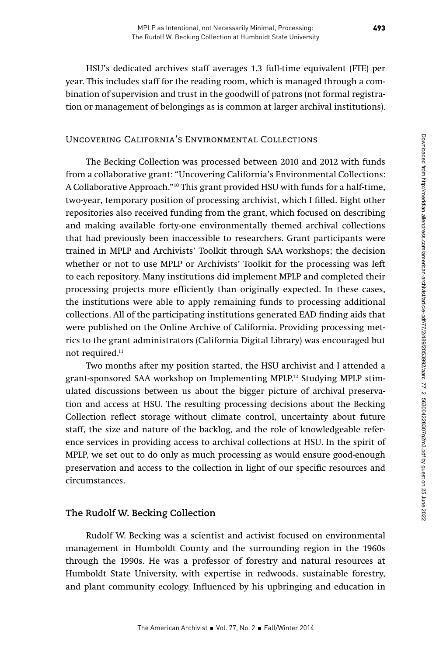HSU's dedicated archives staff averages 1.3 full-time equivalent (FTE) per year. This includes staff for the reading room, which is managed through a combination of supervision and trust in the goodwill of patrons (not formal registration or management of belongings as is common at larger archival institutions).

# Uncovering California's Environmental Collections

The Becking Collection was processed between 2010 and 2012 with funds from a collaborative grant: "Uncovering California's Environmental Collections: A Collaborative Approach."10 This grant provided HSU with funds for a half-time, two-year, temporary position of processing archivist, which I filled. Eight other repositories also received funding from the grant, which focused on describing and making available forty-one environmentally themed archival collections that had previously been inaccessible to researchers. Grant participants were trained in MPLP and Archivists' Toolkit through SAA workshops; the decision whether or not to use MPLP or Archivists' Toolkit for the processing was left to each repository. Many institutions did implement MPLP and completed their processing projects more efficiently than originally expected. In these cases, the institutions were able to apply remaining funds to processing additional collections. All of the participating institutions generated EAD finding aids that were published on the Online Archive of California. Providing processing metrics to the grant administrators (California Digital Library) was encouraged but not required.<sup>11</sup>

Two months after my position started, the HSU archivist and I attended a grant-sponsored SAA workshop on Implementing MPLP.12 Studying MPLP stimulated discussions between us about the bigger picture of archival preservation and access at HSU. The resulting processing decisions about the Becking Collection reflect storage without climate control, uncertainty about future staff, the size and nature of the backlog, and the role of knowledgeable reference services in providing access to archival collections at HSU. In the spirit of MPLP, we set out to do only as much processing as would ensure good-enough preservation and access to the collection in light of our specific resources and circumstances.

## **The Rudolf W. Becking Collection**

Rudolf W. Becking was a scientist and activist focused on environmental management in Humboldt County and the surrounding region in the 1960s through the 1990s. He was a professor of forestry and natural resources at Humboldt State University, with expertise in redwoods, sustainable forestry, and plant community ecology. Influenced by his upbringing and education in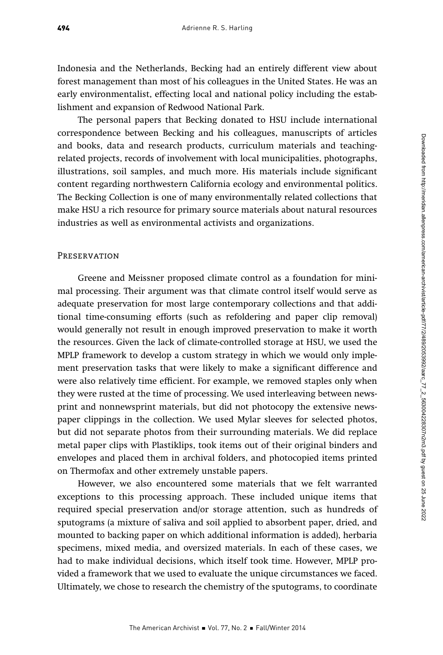Indonesia and the Netherlands, Becking had an entirely different view about forest management than most of his colleagues in the United States. He was an early environmentalist, effecting local and national policy including the establishment and expansion of Redwood National Park.

The personal papers that Becking donated to HSU include international correspondence between Becking and his colleagues, manuscripts of articles and books, data and research products, curriculum materials and teachingrelated projects, records of involvement with local municipalities, photographs, illustrations, soil samples, and much more. His materials include significant content regarding northwestern California ecology and environmental politics. The Becking Collection is one of many environmentally related collections that make HSU a rich resource for primary source materials about natural resources industries as well as environmental activists and organizations.

#### **PRESERVATION**

Greene and Meissner proposed climate control as a foundation for minimal processing. Their argument was that climate control itself would serve as adequate preservation for most large contemporary collections and that additional time-consuming efforts (such as refoldering and paper clip removal) would generally not result in enough improved preservation to make it worth the resources. Given the lack of climate-controlled storage at HSU, we used the MPLP framework to develop a custom strategy in which we would only implement preservation tasks that were likely to make a significant difference and were also relatively time efficient. For example, we removed staples only when they were rusted at the time of processing. We used interleaving between newsprint and nonnewsprint materials, but did not photocopy the extensive newspaper clippings in the collection. We used Mylar sleeves for selected photos, but did not separate photos from their surrounding materials. We did replace metal paper clips with Plastiklips, took items out of their original binders and envelopes and placed them in archival folders, and photocopied items printed on Thermofax and other extremely unstable papers.

However, we also encountered some materials that we felt warranted exceptions to this processing approach. These included unique items that required special preservation and/or storage attention, such as hundreds of sputograms (a mixture of saliva and soil applied to absorbent paper, dried, and mounted to backing paper on which additional information is added), herbaria specimens, mixed media, and oversized materials. In each of these cases, we had to make individual decisions, which itself took time. However, MPLP provided a framework that we used to evaluate the unique circumstances we faced. Ultimately, we chose to research the chemistry of the sputograms, to coordinate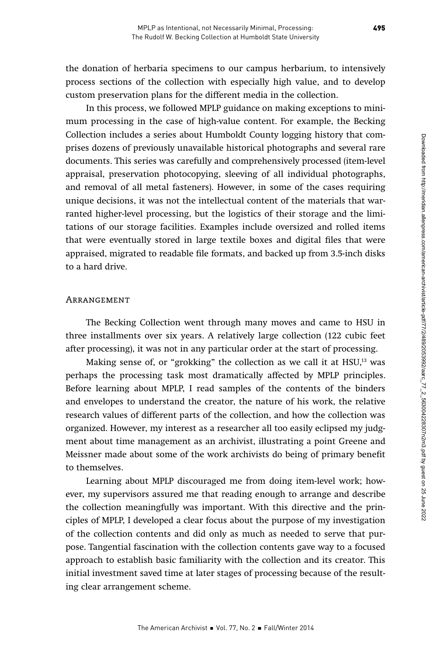the donation of herbaria specimens to our campus herbarium, to intensively process sections of the collection with especially high value, and to develop custom preservation plans for the different media in the collection.

In this process, we followed MPLP guidance on making exceptions to minimum processing in the case of high-value content. For example, the Becking Collection includes a series about Humboldt County logging history that comprises dozens of previously unavailable historical photographs and several rare documents. This series was carefully and comprehensively processed (item-level appraisal, preservation photocopying, sleeving of all individual photographs, and removal of all metal fasteners). However, in some of the cases requiring unique decisions, it was not the intellectual content of the materials that warranted higher-level processing, but the logistics of their storage and the limitations of our storage facilities. Examples include oversized and rolled items that were eventually stored in large textile boxes and digital files that were appraised, migrated to readable file formats, and backed up from 3.5-inch disks to a hard drive.

## Arrangement

The Becking Collection went through many moves and came to HSU in three installments over six years. A relatively large collection (122 cubic feet after processing), it was not in any particular order at the start of processing.

Making sense of, or "grokking" the collection as we call it at HSU,<sup>13</sup> was perhaps the processing task most dramatically affected by MPLP principles. Before learning about MPLP, I read samples of the contents of the binders and envelopes to understand the creator, the nature of his work, the relative research values of different parts of the collection, and how the collection was organized. However, my interest as a researcher all too easily eclipsed my judgment about time management as an archivist, illustrating a point Greene and Meissner made about some of the work archivists do being of primary benefit to themselves.

Learning about MPLP discouraged me from doing item-level work; however, my supervisors assured me that reading enough to arrange and describe the collection meaningfully was important. With this directive and the principles of MPLP, I developed a clear focus about the purpose of my investigation of the collection contents and did only as much as needed to serve that purpose. Tangential fascination with the collection contents gave way to a focused approach to establish basic familiarity with the collection and its creator. This initial investment saved time at later stages of processing because of the resulting clear arrangement scheme.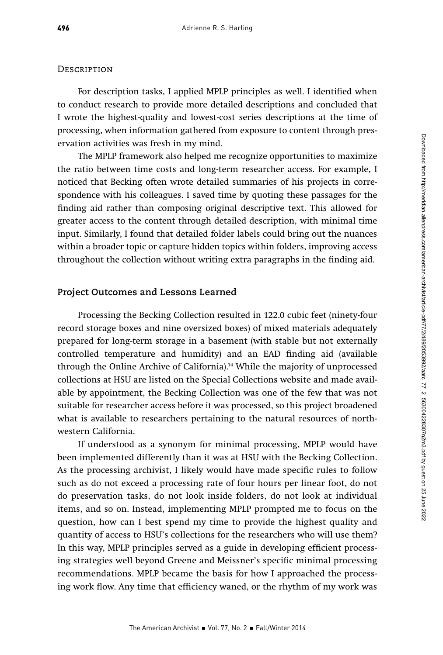## **DESCRIPTION**

For description tasks, I applied MPLP principles as well. I identified when to conduct research to provide more detailed descriptions and concluded that I wrote the highest-quality and lowest-cost series descriptions at the time of processing, when information gathered from exposure to content through preservation activities was fresh in my mind.

The MPLP framework also helped me recognize opportunities to maximize the ratio between time costs and long-term researcher access. For example, I noticed that Becking often wrote detailed summaries of his projects in correspondence with his colleagues. I saved time by quoting these passages for the finding aid rather than composing original descriptive text. This allowed for greater access to the content through detailed description, with minimal time input. Similarly, I found that detailed folder labels could bring out the nuances within a broader topic or capture hidden topics within folders, improving access throughout the collection without writing extra paragraphs in the finding aid.

## **Project Outcomes and Lessons Learned**

Processing the Becking Collection resulted in 122.0 cubic feet (ninety-four record storage boxes and nine oversized boxes) of mixed materials adequately prepared for long-term storage in a basement (with stable but not externally controlled temperature and humidity) and an EAD finding aid (available through the Online Archive of California).14 While the majority of unprocessed collections at HSU are listed on the Special Collections website and made available by appointment, the Becking Collection was one of the few that was not suitable for researcher access before it was processed, so this project broadened what is available to researchers pertaining to the natural resources of northwestern California.

If understood as a synonym for minimal processing, MPLP would have been implemented differently than it was at HSU with the Becking Collection. As the processing archivist, I likely would have made specific rules to follow such as do not exceed a processing rate of four hours per linear foot, do not do preservation tasks, do not look inside folders, do not look at individual items, and so on. Instead, implementing MPLP prompted me to focus on the question, how can I best spend my time to provide the highest quality and quantity of access to HSU's collections for the researchers who will use them? In this way, MPLP principles served as a guide in developing efficient processing strategies well beyond Greene and Meissner's specific minimal processing recommendations. MPLP became the basis for how I approached the processing work flow. Any time that efficiency waned, or the rhythm of my work was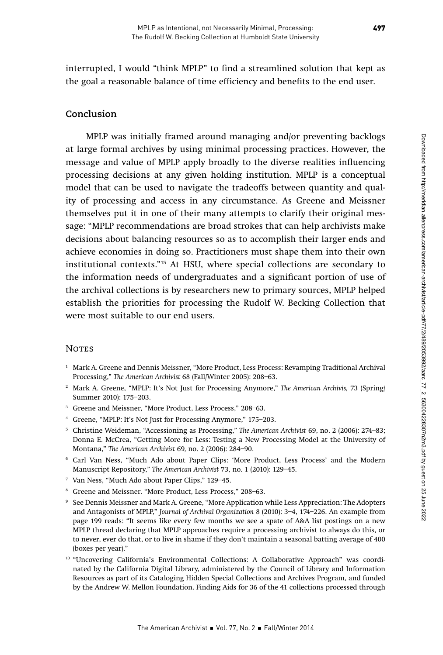interrupted, I would "think MPLP" to find a streamlined solution that kept as the goal a reasonable balance of time efficiency and benefits to the end user.

# **Conclusion**

MPLP was initially framed around managing and/or preventing backlogs at large formal archives by using minimal processing practices. However, the message and value of MPLP apply broadly to the diverse realities influencing processing decisions at any given holding institution. MPLP is a conceptual model that can be used to navigate the tradeoffs between quantity and quality of processing and access in any circumstance. As Greene and Meissner themselves put it in one of their many attempts to clarify their original message: "MPLP recommendations are broad strokes that can help archivists make decisions about balancing resources so as to accomplish their larger ends and achieve economies in doing so. Practitioners must shape them into their own institutional contexts."15 At HSU, where special collections are secondary to the information needs of undergraduates and a significant portion of use of the archival collections is by researchers new to primary sources, MPLP helped establish the priorities for processing the Rudolf W. Becking Collection that were most suitable to our end users.

## **NOTES**

- <sup>1</sup> Mark A. Greene and Dennis Meissner, "More Product, Less Process: Revamping Traditional Archival Processing," The American Archivist 68 (Fall/Winter 2005): 208–63.
- <sup>2</sup> Mark A. Greene, "MPLP: It's Not Just for Processing Anymore," The American Archivis, 73 (Spring/ Summer 2010): 175–203.
- <sup>3</sup> Greene and Meissner, "More Product, Less Process," 208–63.
- <sup>4</sup> Greene, "MPLP: It's Not Just for Processing Anymore," 175–203.
- <sup>5</sup> Christine Weideman, "Accessioning as Processing," The American Archivist 69, no. 2 (2006): 274–83; Donna E. McCrea, "Getting More for Less: Testing a New Processing Model at the University of Montana," The American Archivist 69, no. 2 (2006): 284–90.
- <sup>6</sup> Carl Van Ness, "Much Ado about Paper Clips: 'More Product, Less Process' and the Modern Manuscript Repository," The American Archivist 73, no. 1 (2010): 129–45.
- <sup>7</sup> Van Ness, "Much Ado about Paper Clips," 129–45.
- <sup>8</sup> Greene and Meissner. "More Product, Less Process," 208–63.
- <sup>9</sup> See Dennis Meissner and Mark A. Greene, "More Application while Less Appreciation: The Adopters and Antagonists of MPLP," Journal of Archival Organization 8 (2010): 3–4, 174–226. An example from page 199 reads: "It seems like every few months we see a spate of A&A list postings on a new MPLP thread declaring that MPLP approaches require a processing archivist to always do this, or to never, ever do that, or to live in shame if they don't maintain a seasonal batting average of 400 (boxes per year)."
- <sup>10</sup> "Uncovering California's Environmental Collections: A Collaborative Approach" was coordinated by the California Digital Library, administered by the Council of Library and Information Resources as part of its Cataloging Hidden Special Collections and Archives Program, and funded by the Andrew W. Mellon Foundation. Finding Aids for 36 of the 41 collections processed through